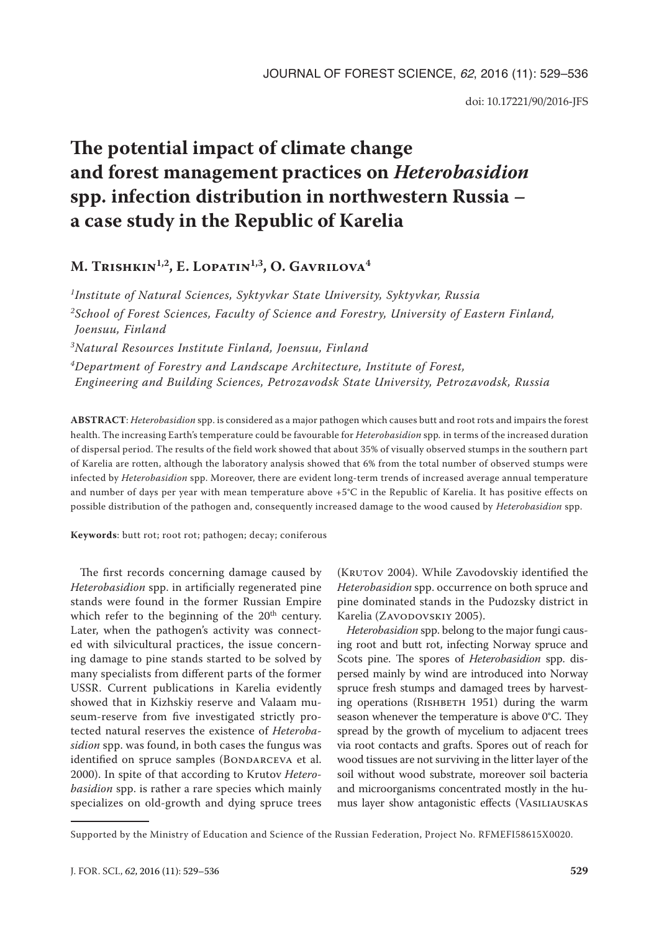doi: 10.17221/90/2016-JFS

# **The potential impact of climate change and forest management practices on** *Heterobasidion* **spp. infection distribution in northwestern Russia – a case study in the Republic of Karelia**

# **M. Trishkin1,2, E. Lopatin1,3, O. Gavrilova4**

*1Institute of Natural Sciences, Syktyvkar State University, Syktyvkar, Russia 2School of Forest Sciences, Faculty of Science and Forestry, University of Eastern Finland, Joensuu, Finland 3Natural Resources Institute Finland, Joensuu, Finland 4Department of Forestry and Landscape Architecture, Institute of Forest, Engineering and Building Sciences, Petrozavodsk State University, Petrozavodsk, Russia*

**ABSTRACT**: *Heterobasidion* spp. is considered as a major pathogen which causes butt and root rots and impairs the forest health. The increasing Earth's temperature could be favourable for *Heterobasidion* spp*.* in terms of the increased duration of dispersal period. The results of the field work showed that about 35% of visually observed stumps in the southern part of Karelia are rotten, although the laboratory analysis showed that 6% from the total number of observed stumps were infected by *Heterobasidion* spp. Moreover, there are evident long-term trends of increased average annual temperature and number of days per year with mean temperature above +5°C in the Republic of Karelia. It has positive effects on possible distribution of the pathogen and, consequently increased damage to the wood caused by *Heterobasidion* spp.

**Keywords**: butt rot; root rot; pathogen; decay; coniferous

The first records concerning damage caused by *Heterobasidion* spp. in artificially regenerated pine stands were found in the former Russian Empire which refer to the beginning of the  $20<sup>th</sup>$  century. Later, when the pathogen's activity was connected with silvicultural practices, the issue concerning damage to pine stands started to be solved by many specialists from different parts of the former USSR. Current publications in Karelia evidently showed that in Kizhskiy reserve and Valaam museum-reserve from five investigated strictly protected natural reserves the existence of *Heterobasidion* spp. was found, in both cases the fungus was identified on spruce samples (BONDARCEVA et al. 2000). In spite of that according to Krutov *Heterobasidion* spp. is rather a rare species which mainly specializes on old-growth and dying spruce trees

(KRUTOV 2004). While Zavodovskiy identified the *Heterobasidion* spp. occurrence on both spruce and pine dominated stands in the Pudozsky district in Karelia (ZAVODOVSKIY 2005).

*Heterobasidion* spp. belong to the major fungi causing root and butt rot, infecting Norway spruce and Scots pine. The spores of *Heterobasidion* spp. dispersed mainly by wind are introduced into Norway spruce fresh stumps and damaged trees by harvesting operations (RISHBETH 1951) during the warm season whenever the temperature is above 0°C. They spread by the growth of mycelium to adjacent trees via root contacts and grafts. Spores out of reach for wood tissues are not surviving in the litter layer of the soil without wood substrate, moreover soil bacteria and microorganisms concentrated mostly in the humus layer show antagonistic effects (Vasiliauskas

Supported by the Ministry of Education and Science of the Russian Federation, Project No. RFMEFI58615X0020.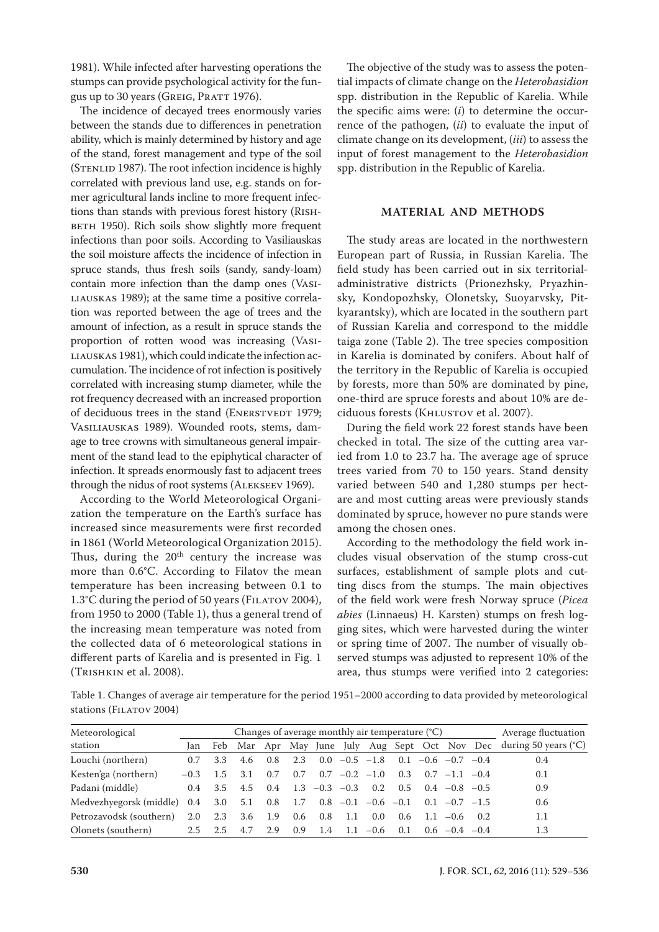1981). While infected after harvesting operations the stumps can provide psychological activity for the fungus up to 30 years (GREIG, PRATT 1976).

The incidence of decayed trees enormously varies between the stands due to differences in penetration ability, which is mainly determined by history and age of the stand, forest management and type of the soil (STENLID 1987). The root infection incidence is highly correlated with previous land use, e.g. stands on former agricultural lands incline to more frequent infections than stands with previous forest history (Rish-BETH 1950). Rich soils show slightly more frequent infections than poor soils. According to Vasiliauskas the soil moisture affects the incidence of infection in spruce stands, thus fresh soils (sandy, sandy-loam) contain more infection than the damp ones (Vasiliauskas 1989); at the same time a positive correlation was reported between the age of trees and the amount of infection, as a result in spruce stands the proportion of rotten wood was increasing (Vasi-LIAUSKAS 1981), which could indicate the infection accumulation. The incidence of rot infection is positively correlated with increasing stump diameter, while the rot frequency decreased with an increased proportion of deciduous trees in the stand (ENERSTVEDT 1979; Vasiliauskas 1989). Wounded roots, stems, damage to tree crowns with simultaneous general impairment of the stand lead to the epiphytical character of infection. It spreads enormously fast to adjacent trees through the nidus of root systems (Alekseev 1969).

According to the World Meteorological Organization the temperature on the Earth's surface has increased since measurements were first recorded in 1861 (World Meteorological Organization 2015). Thus, during the 20<sup>th</sup> century the increase was more than 0.6°C. According to Filatov the mean temperature has been increasing between 0.1 to 1.3°C during the period of 50 years (FILATOV 2004), from 1950 to 2000 (Table 1), thus a general trend of the increasing mean temperature was noted from the collected data of 6 meteorological stations in different parts of Karelia and is presented in Fig. 1 (Trishkin et al. 2008).

The objective of the study was to assess the potential impacts of climate change on the *Heterobasidion*  spp. distribution in the Republic of Karelia. While the specific aims were: (*i*) to determine the occurrence of the pathogen, (*ii*) to evaluate the input of climate change on its development, (*iii*) to assess the input of forest management to the *Heterobasidion* spp. distribution in the Republic of Karelia.

### **MATERIAL AND METHODS**

The study areas are located in the northwestern European part of Russia, in Russian Karelia. The field study has been carried out in six territorialadministrative districts (Prionezhsky, Pryazhinsky, Kondopozhsky, Olonetsky, Suoyarvsky, Pitkyarantsky), which are located in the southern part of Russian Karelia and correspond to the middle taiga zone (Table 2). The tree species composition in Karelia is dominated by conifers. About half of the territory in the Republic of Karelia is occupied by forests, more than 50% are dominated by pine, one-third are spruce forests and about 10% are deciduous forests (KHLUSTOV et al. 2007).

During the field work 22 forest stands have been checked in total. The size of the cutting area varied from 1.0 to 23.7 ha. The average age of spruce trees varied from 70 to 150 years. Stand density varied between 540 and 1,280 stumps per hectare and most cutting areas were previously stands dominated by spruce, however no pure stands were among the chosen ones.

According to the methodology the field work includes visual observation of the stump cross-cut surfaces, establishment of sample plots and cutting discs from the stumps. The main objectives of the field work were fresh Norway spruce (*Picea abies* (Linnaeus) H. Karsten) stumps on fresh logging sites, which were harvested during the winter or spring time of 2007. The number of visually observed stumps was adjusted to represent 10% of the area, thus stumps were verified into 2 categories:

Table 1. Changes of average air temperature for the period 1951–2000 according to data provided by meteorological stations (FILATOV 2004)

| Meteorological          | Changes of average monthly air temperature $(C)$ |      |                                                |               |     |                   |                 |                                                |               | Average fluctuation |                         |  |                               |
|-------------------------|--------------------------------------------------|------|------------------------------------------------|---------------|-----|-------------------|-----------------|------------------------------------------------|---------------|---------------------|-------------------------|--|-------------------------------|
| station                 | Jan                                              |      | Feb Mar Apr May June July Aug Sept Oct Nov Dec |               |     |                   |                 |                                                |               |                     |                         |  | during 50 years $(^{\circ}C)$ |
| Louchi (northern)       | 0.7                                              | 3.3  | 4.6                                            | $0.8^{\circ}$ | 2.3 |                   |                 | $0.0 - 0.5 - 1.8$                              |               |                     | $0.1 - 0.6 - 0.7 - 0.4$ |  | 0.4                           |
| Kesten'ga (northern)    | $-0.3$                                           | 1.5  | 3.1                                            | 0.7           | 0.7 |                   | $0.7 -0.2 -1.0$ |                                                | 0.3           |                     | $0.7 -1.1 -0.4$         |  | 0.1                           |
| Padani (middle)         | $0.4^{\circ}$                                    | -3.5 | 4.5                                            | $0.4^{\circ}$ |     | $1.3 - 0.3 - 0.3$ |                 | $0.2^{\circ}$                                  | 0.5           |                     | $0.4 - 0.8 - 0.5$       |  | 0.9                           |
| Medvezhyegorsk (middle) | 0.4                                              | 3.0  | 5.1                                            | $0.8\,$       |     |                   |                 | 1.7 0.8 $-0.1$ $-0.6$ $-0.1$ 0.1 $-0.7$ $-1.5$ |               |                     |                         |  | 0.6                           |
| Petrozavodsk (southern) | 2.0                                              | 2.3  | 3.6                                            | 1.9           | 0.6 | 0.8               | - 1.1           | 0.0                                            | $0.6^{\circ}$ | -1.1                | $-0.6$ 0.2              |  | 1.1                           |
| Olonets (southern)      | $2.5^{\circ}$                                    | 2.5  | 47                                             | 2.9           | 0.9 | 1.4               | -1.1            | $-0.6$                                         | 0.1           | $0.6^{\circ}$       | $-0.4 -0.4$             |  | 1.3                           |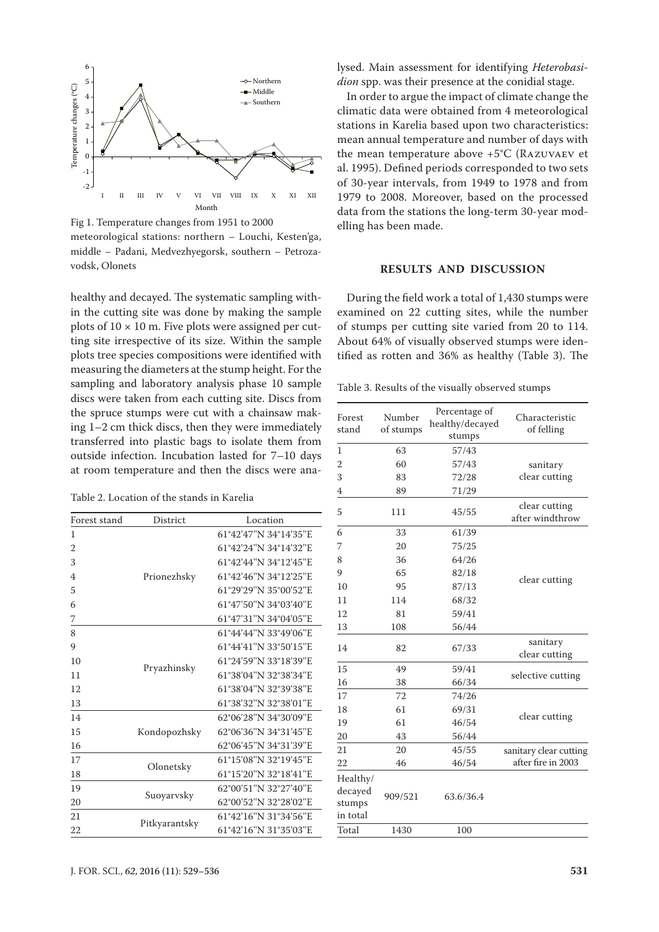

Fig 1. Temperature changes from 1951 to 2000 meteorological stations: northern – Louchi, Kesten'ga, middle – Padani, Medvezhyegorsk, southern – Petrozavodsk, Olonets

healthy and decayed. The systematic sampling within the cutting site was done by making the sample plots of  $10 \times 10$  m. Five plots were assigned per cutting site irrespective of its size. Within the sample plots tree species compositions were identified with measuring the diameters at the stump height. For the sampling and laboratory analysis phase 10 sample discs were taken from each cutting site. Discs from the spruce stumps were cut with a chainsaw making 1–2 cm thick discs, then they were immediately transferred into plastic bags to isolate them from outside infection. Incubation lasted for 7–10 days at room temperature and then the discs were ana-

Table 2. Location of the stands in Karelia

| Forest stand   | <b>District</b> | Location              |
|----------------|-----------------|-----------------------|
| 1              |                 | 61°42'47"N 34°14'35"E |
| $\overline{2}$ |                 | 61°42'24"N 34°14'32"E |
| 3              |                 | 61°42'44"N 34°12'45"E |
| 4              | Prionezhsky     | 61°42'46"N 34°12'25"E |
| 5              |                 | 61°29'29"N 35°00'52"E |
| 6              |                 | 61°47'50"N 34°03'40"E |
| 7              |                 | 61°47'31"N 34°04'05"E |
| 8              |                 | 61°44'44"N 33°49'06"E |
| 9              |                 | 61°44'41"N 33°50'15"E |
| 10             |                 | 61°24'59"N 33°18'39"E |
| 11             | Pryazhinsky     | 61°38'04"N 32°38'34"E |
| 12             |                 | 61°38'04"N 32°39'38"E |
| 13             |                 | 61°38'32"N 32°38'01"E |
| 14             |                 | 62°06'28"N 34°30'09"E |
| 15             | Kondopozhsky    | 62°06'36"N 34°31'45"E |
| 16             |                 | 62°06'45"N 34°31'39"E |
| 17             |                 | 61°15'08"N 32°19'45"E |
| 18             | Olonetsky       | 61°15'20"N 32°18'41"E |
| 19             |                 | 62°00'51"N 32°27'40"E |
| 20             | Suoyarvsky      | 62°00'52"N 32°28'02"E |
| 21             |                 | 61°42'16"N 31°34'56"E |
| 22             | Pitkyarantsky   | 61°42'16"N 31°35'03"E |

lysed. Main assessment for identifying *Heterobasidion* spp. was their presence at the conidial stage.

In order to argue the impact of climate change the climatic data were obtained from 4 meteorological stations in Karelia based upon two characteristics: mean annual temperature and number of days with the mean temperature above +5°C (Razuvaev et al. 1995). Defined periods corresponded to two sets of 30-year intervals, from 1949 to 1978 and from 1979 to 2008. Moreover, based on the processed data from the stations the long-term 30-year modelling has been made.

## **RESULTS AND DISCUSSION**

During the field work a total of 1,430 stumps were examined on 22 cutting sites, while the number of stumps per cutting site varied from 20 to 114. About 64% of visually observed stumps were identified as rotten and 36% as healthy (Table 3). The

Table 3. Results of the visually observed stumps

| Forest<br>stand                           | Number<br>of stumps | Percentage of<br>healthy/decayed<br>stumps | Characteristic<br>of felling     |  |  |
|-------------------------------------------|---------------------|--------------------------------------------|----------------------------------|--|--|
| $\mathbf{1}$                              | 63                  | 57/43                                      |                                  |  |  |
| $\overline{2}$                            | 60                  | 57/43                                      | sanitary                         |  |  |
| 3                                         | 83                  | 72/28                                      | clear cutting                    |  |  |
| 4                                         | 89                  | 71/29                                      |                                  |  |  |
| 5                                         | 111                 | 45/55                                      | clear cutting<br>after windthrow |  |  |
| 6                                         | 33                  | 61/39                                      |                                  |  |  |
| 7                                         | 20                  | 75/25                                      |                                  |  |  |
| 8                                         | 36                  | 64/26                                      |                                  |  |  |
| 9                                         | 65                  | 82/18                                      |                                  |  |  |
| 10                                        | 95                  | 87/13                                      | clear cutting                    |  |  |
| 11                                        | 114                 | 68/32                                      |                                  |  |  |
| 12                                        | 81                  | 59/41                                      |                                  |  |  |
| 13                                        | 108                 | 56/44                                      |                                  |  |  |
| 14                                        | 82                  | 67/33                                      | sanitary<br>clear cutting        |  |  |
| 15                                        | 49                  | 59/41                                      |                                  |  |  |
| 16                                        | 38                  | 66/34                                      | selective cutting                |  |  |
| 17                                        | 72                  | 74/26                                      |                                  |  |  |
| 18                                        | 61                  | 69/31                                      |                                  |  |  |
| 19                                        | 61                  | 46/54                                      | clear cutting                    |  |  |
| 20                                        | 43                  | 56/44                                      |                                  |  |  |
| 21                                        | 20                  | 45/55                                      | sanitary clear cutting           |  |  |
| 22                                        | 46                  | 46/54                                      | after fire in 2003               |  |  |
| Healthy/<br>decayed<br>stumps<br>in total | 909/521             | 63.6/36.4                                  |                                  |  |  |
| Total                                     | 1430                | 100                                        |                                  |  |  |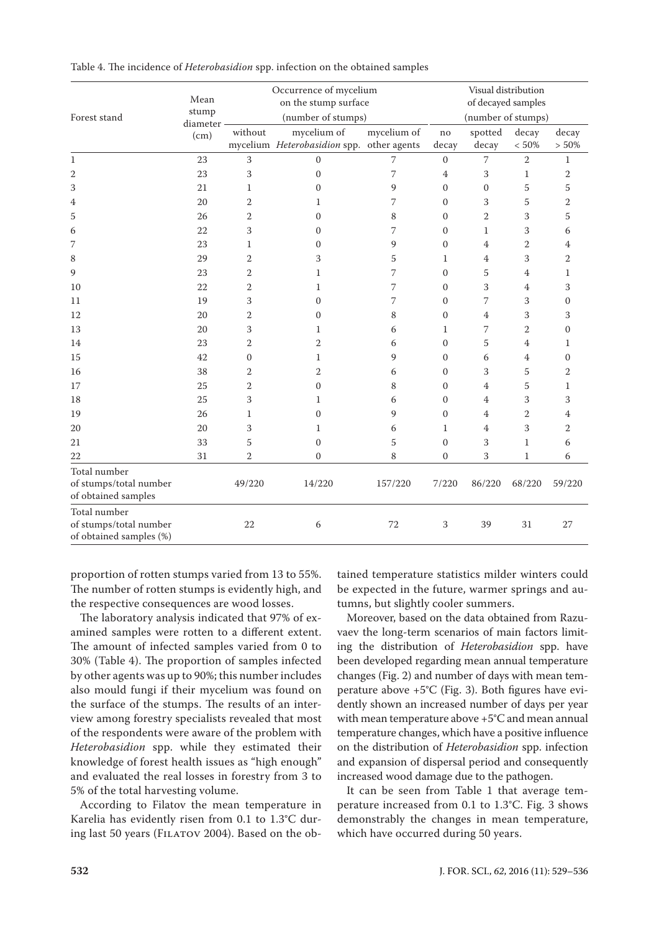| Forest stand                                                      | Mean<br>stump    |                | Occurrence of mycelium<br>on the stump surface<br>(number of stumps) | Visual distribution<br>of decayed samples<br>(number of stumps) |                  |                  |                  |                   |
|-------------------------------------------------------------------|------------------|----------------|----------------------------------------------------------------------|-----------------------------------------------------------------|------------------|------------------|------------------|-------------------|
|                                                                   | diameter<br>(cm) | without        | mycelium of<br>mycelium Heterobasidion spp. other agents             | mycelium of                                                     | no<br>decay      | spotted<br>decay | decay<br>$<50\%$ | decay<br>$> 50\%$ |
| $\mathbf{1}$                                                      | 23               | 3              | $\Omega$                                                             | 7                                                               | $\mathbf{0}$     | $\overline{7}$   | $\overline{2}$   | $\mathbf{1}$      |
| 2                                                                 | 23               | 3              | $\boldsymbol{0}$                                                     | 7                                                               | 4                | 3                | $\mathbf{1}$     | 2                 |
| 3                                                                 | 21               | $\mathbf{1}$   | $\mathbf{0}$                                                         | 9                                                               | $\mathbf{0}$     | $\mathbf{0}$     | 5                | 5                 |
| 4                                                                 | 20               | $\overline{2}$ | 1                                                                    | 7                                                               | $\boldsymbol{0}$ | 3                | 5                | $\overline{2}$    |
| 5                                                                 | 26               | $\overline{2}$ | $\mathbf{0}$                                                         | 8                                                               | $\mathbf{0}$     | 2                | 3                | 5                 |
| 6                                                                 | 22               | 3              | $\mathbf{0}$                                                         | 7                                                               | $\mathbf{0}$     | $\mathbf{1}$     | 3                | 6                 |
| 7                                                                 | 23               | 1              | $\boldsymbol{0}$                                                     | 9                                                               | $\boldsymbol{0}$ | $\overline{4}$   | $\overline{2}$   | 4                 |
| 8                                                                 | 29               | $\overline{2}$ | 3                                                                    | 5                                                               | $\mathbf{1}$     | $\overline{4}$   | 3                | $\overline{2}$    |
| 9                                                                 | 23               | $\overline{2}$ | 1                                                                    | 7                                                               | $\boldsymbol{0}$ | 5                | $\overline{4}$   | 1                 |
| 10                                                                | 22               | $\overline{2}$ | 1                                                                    | 7                                                               | $\mathbf{0}$     | 3                | $\overline{4}$   | 3                 |
| 11                                                                | 19               | 3              | $\boldsymbol{0}$                                                     | 7                                                               | $\mathbf{0}$     | 7                | 3                | $\overline{0}$    |
| 12                                                                | 20               | $\overline{2}$ | 0                                                                    | 8                                                               | $\mathbf{0}$     | 4                | 3                | 3                 |
| 13                                                                | 20               | 3              | 1                                                                    | 6                                                               | 1                | 7                | $\overline{2}$   | $\overline{0}$    |
| 14                                                                | 23               | $\overline{2}$ | $\overline{2}$                                                       | 6                                                               | $\boldsymbol{0}$ | 5                | $\overline{4}$   | $\mathbf{1}$      |
| 15                                                                | 42               | $\mathbf{0}$   | $\mathbf{1}$                                                         | 9                                                               | $\mathbf{0}$     | 6                | $\overline{4}$   | $\overline{0}$    |
| 16                                                                | 38               | $\overline{2}$ | 2                                                                    | 6                                                               | $\boldsymbol{0}$ | 3                | 5                | $\overline{2}$    |
| 17                                                                | 25               | $\overline{2}$ | $\mathbf{0}$                                                         | 8                                                               | $\Omega$         | $\overline{4}$   | 5                | 1                 |
| 18                                                                | 25               | 3              | 1                                                                    | 6                                                               | $\boldsymbol{0}$ | $\overline{4}$   | 3                | 3                 |
| 19                                                                | 26               | $\mathbf 1$    | $\boldsymbol{0}$                                                     | 9                                                               | $\mathbf{0}$     | $\overline{4}$   | 2                | 4                 |
| 20                                                                | 20               | 3              | 1                                                                    | 6                                                               | 1                | $\overline{4}$   | 3                | $\overline{2}$    |
| 21                                                                | 33               | 5              | $\mathbf{0}$                                                         | 5                                                               | $\mathbf{0}$     | 3                | $\mathbf{1}$     | 6                 |
| 22                                                                | 31               | $\overline{2}$ | $\Omega$                                                             | 8                                                               | $\overline{0}$   | 3                | $\mathbf{1}$     | 6                 |
| Total number<br>of stumps/total number<br>of obtained samples     |                  | 49/220         | 14/220                                                               | 157/220                                                         | 7/220            | 86/220           | 68/220           | 59/220            |
| Total number<br>of stumps/total number<br>of obtained samples (%) |                  | 22             | 6                                                                    | 72                                                              | 3                | 39               | 31               | 27                |

| Table 4. The incidence of <i>Heterobasidion</i> spp. infection on the obtained samples |  |
|----------------------------------------------------------------------------------------|--|
|----------------------------------------------------------------------------------------|--|

proportion of rotten stumps varied from 13 to 55%. The number of rotten stumps is evidently high, and the respective consequences are wood losses.

The laboratory analysis indicated that 97% of examined samples were rotten to a different extent. The amount of infected samples varied from 0 to 30% (Table 4). The proportion of samples infected by other agents was up to 90%; this number includes also mould fungi if their mycelium was found on the surface of the stumps. The results of an interview among forestry specialists revealed that most of the respondents were aware of the problem with *Heterobasidion* spp. while they estimated their knowledge of forest health issues as "high enough" and evaluated the real losses in forestry from 3 to 5% of the total harvesting volume.

According to Filatov the mean temperature in Karelia has evidently risen from 0.1 to 1.3°C during last 50 years (FILATOV 2004). Based on the obtained temperature statistics milder winters could be expected in the future, warmer springs and autumns, but slightly cooler summers.

Moreover, based on the data obtained from Razuvaev the long-term scenarios of main factors limiting the distribution of *Heterobasidion* spp. have been developed regarding mean annual temperature changes (Fig. 2) and number of days with mean temperature above +5°C (Fig. 3). Both figures have evidently shown an increased number of days per year with mean temperature above +5°C and mean annual temperature changes, which have a positive influence on the distribution of *Heterobasidion* spp. infection and expansion of dispersal period and consequently increased wood damage due to the pathogen.

It can be seen from Table 1 that average temperature increased from 0.1 to 1.3°С. Fig. 3 shows demonstrably the changes in mean temperature, which have occurred during 50 years.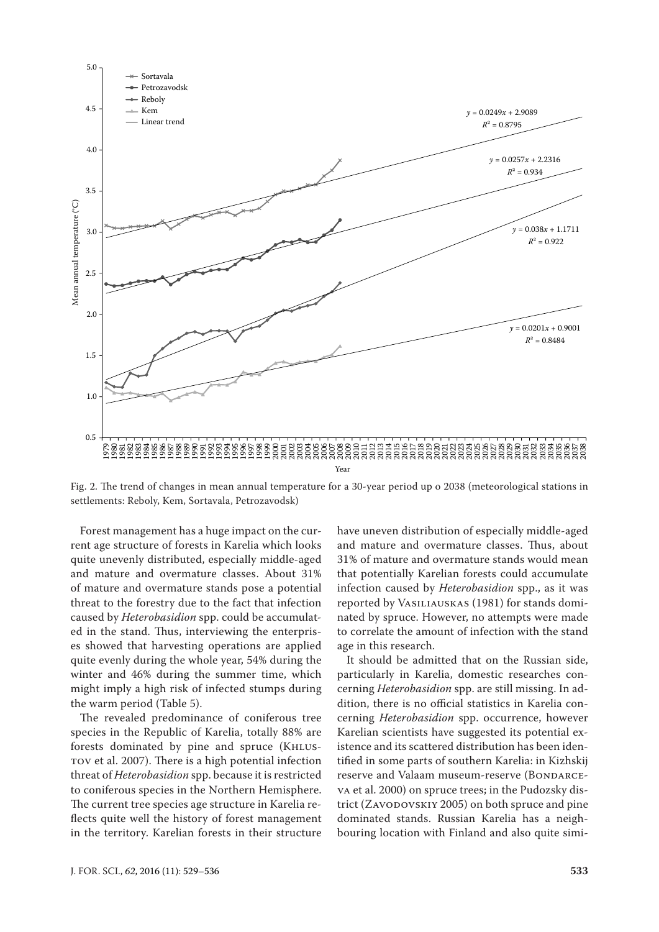

Fig. 2. The trend of changes in mean annual temperature for a 30-year period up o 2038 (meteorological stations in settlements: Reboly, Kem, Sortavala, Petrozavodsk)

Forest management has a huge impact on the current age structure of forests in Karelia which looks quite unevenly distributed, especially middle-aged and mature and overmature classes. About 31% of mature and overmature stands pose a potential threat to the forestry due to the fact that infection caused by *Heterobasidion* spp. could be accumulated in the stand. Thus, interviewing the enterprises showed that harvesting operations are applied quite evenly during the whole year, 54% during the winter and 46% during the summer time, which might imply a high risk of infected stumps during the warm period (Table 5).

The revealed predominance of coniferous tree species in the Republic of Karelia, totally 88% are forests dominated by pine and spruce (KHLUStov et al. 2007). There is a high potential infection threat of *Heterobasidion* spp. because it is restricted to coniferous species in the Northern Hemisphere. The current tree species age structure in Karelia reflects quite well the history of forest management in the territory. Karelian forests in their structure have uneven distribution of especially middle-aged and mature and overmature classes. Thus, about 31% of mature and overmature stands would mean that potentially Karelian forests could accumulate infection caused by *Heterobasidion* spp., as it was reported by Vasiliauskas (1981) for stands dominated by spruce. However, no attempts were made to correlate the amount of infection with the stand age in this research.

It should be admitted that on the Russian side, particularly in Karelia, domestic researches concerning *Heterobasidion* spp. are still missing. In addition, there is no official statistics in Karelia concerning *Heterobasidion* spp. occurrence, however Karelian scientists have suggested its potential existence and its scattered distribution has been identified in some parts of southern Karelia: in Kizhskij reserve and Valaam museum-reserve (BONDARCEva et al. 2000) on spruce trees; in the Pudozsky district (ZAVODOVSKIY 2005) on both spruce and pine dominated stands. Russian Karelia has a neighbouring location with Finland and also quite simi-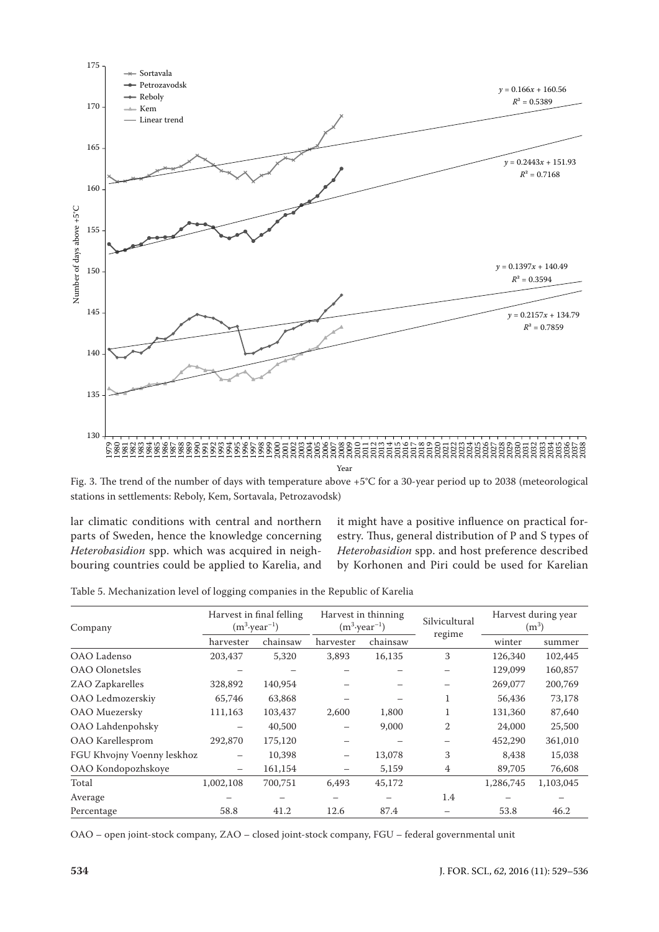

Fig. 3. The trend of the number of days with temperature above +5°C for a 30-year period up to 2038 (meteorological stations in settlements: Reboly, Kem, Sortavala, Petrozavodsk)

lar climatic conditions with central and northern parts of Sweden, hence the knowledge concerning *Heterobasidion* spp. which was acquired in neighbouring countries could be applied to Karelia, and it might have a positive influence on practical forestry. Thus, general distribution of P and S types of *Heterobasidion* spp. and host preference described by Korhonen and Piri could be used for Karelian

Table 5. Mechanization level of logging companies in the Republic of Karelia

| Company                    |                          | Harvest in final felling<br>$(m^3 \cdot \text{year}^{-1})$ |           | Harvest in thinning<br>$(m^3 \cdot \text{year}^{-1})$ | Silvicultural  | Harvest during year<br>$(m^3)$ |           |
|----------------------------|--------------------------|------------------------------------------------------------|-----------|-------------------------------------------------------|----------------|--------------------------------|-----------|
|                            | harvester                | chainsaw                                                   | harvester | chainsaw                                              | regime         | winter                         | summer    |
| OAO Ladenso                | 203,437                  | 5,320                                                      | 3,893     | 16,135                                                | 3              | 126,340                        | 102,445   |
| <b>OAO</b> Olonetsles      |                          |                                                            |           |                                                       |                | 129,099                        | 160,857   |
| ZAO Zapkarelles            | 328,892                  | 140,954                                                    |           |                                                       |                | 269,077                        | 200,769   |
| OAO Ledmozerskiy           | 65,746                   | 63,868                                                     |           |                                                       |                | 56,436                         | 73,178    |
| OAO Muezersky              | 111,163                  | 103,437                                                    | 2,600     | 1,800                                                 |                | 131,360                        | 87,640    |
| OAO Lahdenpohsky           |                          | 40,500                                                     |           | 9,000                                                 | $\overline{2}$ | 24,000                         | 25,500    |
| OAO Karellesprom           | 292,870                  | 175,120                                                    |           |                                                       |                | 452,290                        | 361,010   |
| FGU Khvojny Voenny leskhoz | $\overline{\phantom{0}}$ | 10.398                                                     | —         | 13,078                                                | 3              | 8,438                          | 15,038    |
| OAO Kondopozhskoye         | $\overline{\phantom{m}}$ | 161,154                                                    |           | 5,159                                                 | 4              | 89,705                         | 76,608    |
| Total                      | 1,002,108                | 700,751                                                    | 6.493     | 45,172                                                |                | 1,286,745                      | 1,103,045 |
| Average                    |                          |                                                            |           |                                                       | 1.4            |                                |           |
| Percentage                 | 58.8                     | 41.2                                                       | 12.6      | 87.4                                                  |                | 53.8                           | 46.2      |

OAO – open joint-stock company, ZAO – closed joint-stock company, FGU – federal governmental unit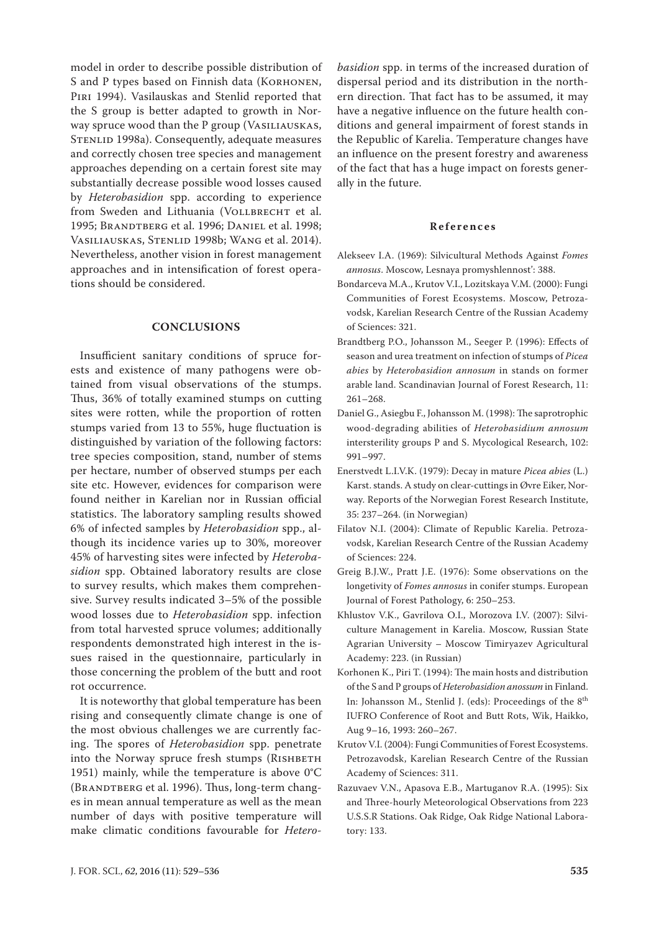model in order to describe possible distribution of S and P types based on Finnish data (KORHONEN, PIRI 1994). Vasilauskas and Stenlid reported that the S group is better adapted to growth in Norway spruce wood than the P group (VASILIAUSKAS, STENLID 1998a). Consequently, adequate measures and correctly chosen tree species and management approaches depending on a certain forest site may substantially decrease possible wood losses caused by *Heterobasidion* spp. according to experience from Sweden and Lithuania (VOLLBRECHT et al. 1995; BRANDTBERG et al. 1996; DANIEL et al. 1998; Vasiliauskas, Stenlid 1998b; Wang et al. 2014). Nevertheless, another vision in forest management approaches and in intensification of forest operations should be considered.

### **CONCLUSIONS**

Insufficient sanitary conditions of spruce forests and existence of many pathogens were obtained from visual observations of the stumps. Thus, 36% of totally examined stumps on cutting sites were rotten, while the proportion of rotten stumps varied from 13 to 55%, huge fluctuation is distinguished by variation of the following factors: tree species composition, stand, number of stems per hectare, number of observed stumps per each site etc. However, evidences for comparison were found neither in Karelian nor in Russian official statistics. The laboratory sampling results showed 6% of infected samples by *Heterobasidion* spp., although its incidence varies up to 30%, moreover 45% of harvesting sites were infected by *Heterobasidion* spp. Obtained laboratory results are close to survey results, which makes them comprehensive. Survey results indicated 3–5% of the possible wood losses due to *Heterobasidion* spp. infection from total harvested spruce volumes; additionally respondents demonstrated high interest in the issues raised in the questionnaire, particularly in those concerning the problem of the butt and root rot occurrence.

It is noteworthy that global temperature has been rising and consequently climate change is one of the most obvious challenges we are currently facing. The spores of *Heterobasidion* spp. penetrate into the Norway spruce fresh stumps (RISHBETH 1951) mainly, while the temperature is above 0°C (BRANDTBERG et al. 1996). Thus, long-term changes in mean annual temperature as well as the mean number of days with positive temperature will make climatic conditions favourable for *Hetero-* *basidion* spp. in terms of the increased duration of dispersal period and its distribution in the northern direction. That fact has to be assumed, it may have a negative influence on the future health conditions and general impairment of forest stands in the Republic of Karelia. Temperature changes have an influence on the present forestry and awareness of the fact that has a huge impact on forests generally in the future.

#### **References**

- Alekseev I.A. (1969): Silvicultural Methods Against *Fomes annosus*. Moscow, Lesnaya promyshlennost': 388.
- Bondarceva M.A., Krutov V.I., Lozitskaya V.M. (2000): Fungi Communities of Forest Ecosystems. Moscow, Petrozavodsk, Karelian Research Centre of the Russian Academy of Sciences: 321.
- Brandtberg P.O., Johansson M., Seeger P. (1996): Effects of season and urea treatment on infection of stumps of *Picea abies* by *Heterobasidion annosum* in stands on former arable land. Scandinavian Journal of Forest Research, 11: 261–268.
- Daniel G., Asiegbu F., Johansson M. (1998): The saprotrophic wood-degrading abilities of *Heterobasidium annosum* intersterility groups P and S. Mycological Research, 102: 991–997.
- Enerstvedt L.I.V.K. (1979): Decay in mature *Picea abies* (L.) Karst. stands. A study on clear-cuttings in Øvre Eiker, Norway. Reports of the Norwegian Forest Research Institute, 35: 237–264. (in Norwegian)
- Filatov N.I. (2004): Climate of Republic Karelia. Petrozavodsk, Karelian Research Centre of the Russian Academy of Sciences: 224.
- Greig B.J.W., Pratt J.E. (1976): Some observations on the longetivity of *Fomes annosus* in conifer stumps. European Journal of Forest Pathology, 6: 250–253.
- Khlustov V.K., Gavrilova O.I., Morozova I.V. (2007): Silviculture Management in Karelia. Moscow, Russian State Agrarian University – Moscow Timiryazev Agricultural Academy: 223. (in Russian)
- Korhonen K., Piri T. (1994): The main hosts and distribution of the S and P groups of *Heterobasidion anossum* in Finland. In: Johansson M., Stenlid J. (eds): Proceedings of the 8th IUFRO Conference of Root and Butt Rots, Wik, Haikko, Aug 9–16, 1993: 260–267.
- Krutov V.I. (2004): Fungi Communities of Forest Ecosystems. Petrozavodsk, Karelian Research Centre of the Russian Academy of Sciences: 311.
- Razuvaev V.N., Apasova E.B., Martuganov R.A. (1995): Six and Three-hourly Meteorological Observations from 223 U.S.S.R Stations. Oak Ridge, Oak Ridge National Laboratory: 133.